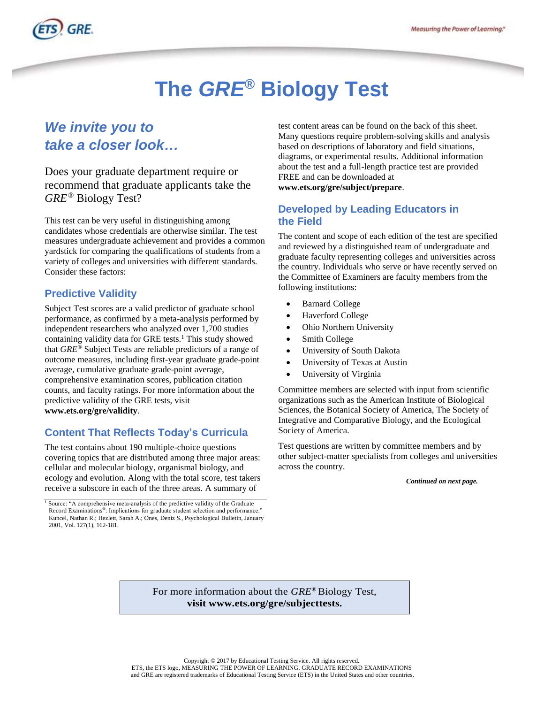

# **The** *GRE***® Biology Test**

## *We invite you to take a closer look…*

 *GRE*® Biology Test? Does your graduate department require or recommend that graduate applicants take the

 This test can be very useful in distinguishing among candidates whose credentials are otherwise similar. The test measures undergraduate achievement and provides a common yardstick for comparing the qualifications of students from a variety of colleges and universities with different standards. Consider these factors:

### **Predictive Validity**

 Subject Test scores are a valid predictor of graduate school performance, as confirmed by a meta-analysis performed by independent researchers who analyzed over 1,700 studies containing validity data for GRE tests.<sup>1</sup> This study showed that *GRE®* Subject Tests are reliable predictors of a range of outcome measures, including first-year graduate grade-point comprehensive examination scores, publication citation counts, and faculty ratings. For more information about the predictive validity of the GRE tests, visit average, cumulative graduate grade-point average, **[www.ets.org/gre/validity](http://www.ets.org/gre/validity)**.

## **Content That Reflects Today's Curricula**

 The test contains about 190 multiple-choice questions covering topics that are distributed among three major areas: cellular and molecular biology, organismal biology, and ecology and evolution. Along with the total score, test takers receive a subscore in each of the three areas. A summary of

 test content areas can be found on the back of this sheet. Many questions require problem-solving skills and analysis based on descriptions of laboratory and field situations, diagrams, or experimental results. Additional information about the test and a full-length practice test are provided FREE and can be downloaded at **www.ets.org/gre/subject/prepare**.

## **Developed by Leading Educators in the Field**

 The content and scope of each edition of the test are specified and reviewed by a distinguished team of undergraduate and graduate faculty representing colleges and universities across the country. Individuals who serve or have recently served on the Committee of Examiners are faculty members from the following institutions:

- Barnard College
- Haverford College
- Ohio Northern University
- Smith College
- University of South Dakota
- University of Texas at Austin
- University of Virginia

 Committee members are selected with input from scientific organizations such as the American Institute of Biological Sciences, the Botanical Society of America, The Society of Integrative and Comparative Biology, and the Ecological Society of America.

 Test questions are written by committee members and by other subject-matter specialists from colleges and universities across the country.

 *Continued on next page.* 

 For more information about the *GRE*® Biology Test, **visit www.ets.org/gre/subjecttests.** 

<sup>&</sup>lt;sup>1</sup> Source: "A comprehensive meta-analysis of the predictive validity of the Graduate Record Examinations®: Implications for graduate student selection and performance." Kuncel, Nathan R.; Hezlett, Sarah A.; Ones, Deniz S., Psychological Bulletin, January 2001, Vol. 127(1), 162-181.